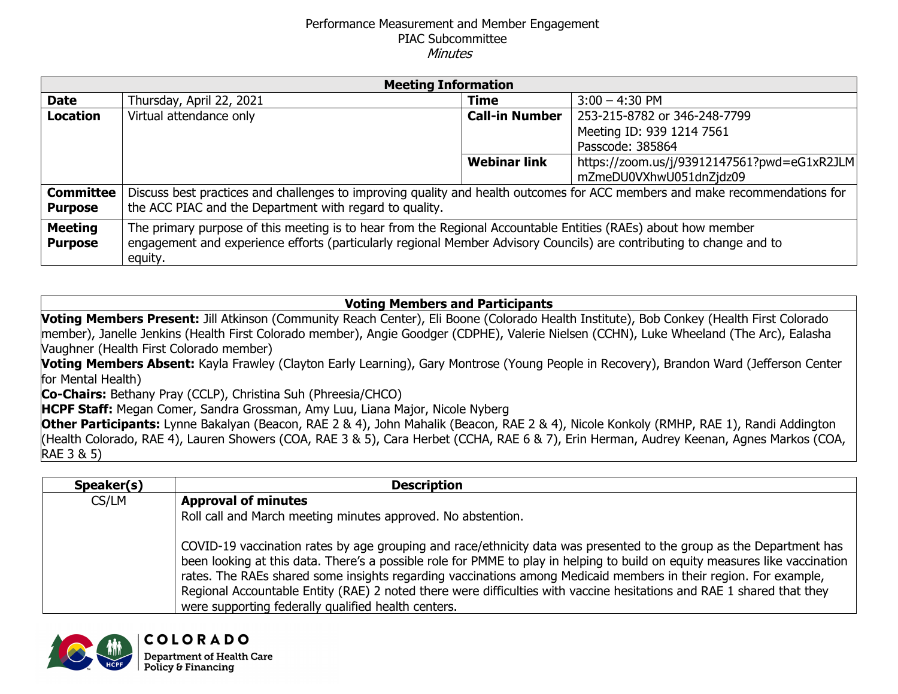## Performance Measurement and Member Engagement PIAC Subcommittee **Minutes**

| <b>Meeting Information</b> |                                                                                                                             |                       |                                             |  |
|----------------------------|-----------------------------------------------------------------------------------------------------------------------------|-----------------------|---------------------------------------------|--|
| <b>Date</b>                | Thursday, April 22, 2021                                                                                                    | <b>Time</b>           | $3:00 - 4:30$ PM                            |  |
| <b>Location</b>            | Virtual attendance only                                                                                                     | <b>Call-in Number</b> | 253-215-8782 or 346-248-7799                |  |
|                            |                                                                                                                             |                       | Meeting ID: 939 1214 7561                   |  |
|                            |                                                                                                                             |                       | Passcode: 385864                            |  |
|                            |                                                                                                                             | <b>Webinar link</b>   | https://zoom.us/j/93912147561?pwd=eG1xR2JLM |  |
|                            |                                                                                                                             |                       | mZmeDU0VXhwU051dnZjdz09                     |  |
| <b>Committee</b>           | Discuss best practices and challenges to improving quality and health outcomes for ACC members and make recommendations for |                       |                                             |  |
| <b>Purpose</b>             | the ACC PIAC and the Department with regard to quality.                                                                     |                       |                                             |  |
| <b>Meeting</b>             | The primary purpose of this meeting is to hear from the Regional Accountable Entities (RAEs) about how member               |                       |                                             |  |
| <b>Purpose</b>             | engagement and experience efforts (particularly regional Member Advisory Councils) are contributing to change and to        |                       |                                             |  |
|                            | equity.                                                                                                                     |                       |                                             |  |

## **Voting Members and Participants**

**Voting Members Present:** Jill Atkinson (Community Reach Center), Eli Boone (Colorado Health Institute), Bob Conkey (Health First Colorado member), Janelle Jenkins (Health First Colorado member), Angie Goodger (CDPHE), Valerie Nielsen (CCHN), Luke Wheeland (The Arc), Ealasha Vaughner (Health First Colorado member)

**Voting Members Absent:** Kayla Frawley (Clayton Early Learning), Gary Montrose (Young People in Recovery), Brandon Ward (Jefferson Center for Mental Health)

**Co-Chairs:** Bethany Pray (CCLP), Christina Suh (Phreesia/CHCO)

**HCPF Staff:** Megan Comer, Sandra Grossman, Amy Luu, Liana Major, Nicole Nyberg

**Other Participants:** Lynne Bakalyan (Beacon, RAE 2 & 4), John Mahalik (Beacon, RAE 2 & 4), Nicole Konkoly (RMHP, RAE 1), Randi Addington (Health Colorado, RAE 4), Lauren Showers (COA, RAE 3 & 5), Cara Herbet (CCHA, RAE 6 & 7), Erin Herman, Audrey Keenan, Agnes Markos (COA, RAE 3 & 5)

| Speaker(s) | <b>Description</b>                                                                                                                                                                                                                                                                                                                                                                                                                                                                                                                                     |
|------------|--------------------------------------------------------------------------------------------------------------------------------------------------------------------------------------------------------------------------------------------------------------------------------------------------------------------------------------------------------------------------------------------------------------------------------------------------------------------------------------------------------------------------------------------------------|
| CS/LM      | <b>Approval of minutes</b>                                                                                                                                                                                                                                                                                                                                                                                                                                                                                                                             |
|            | Roll call and March meeting minutes approved. No abstention.                                                                                                                                                                                                                                                                                                                                                                                                                                                                                           |
|            | COVID-19 vaccination rates by age grouping and race/ethnicity data was presented to the group as the Department has<br>been looking at this data. There's a possible role for PMME to play in helping to build on equity measures like vaccination<br>rates. The RAEs shared some insights regarding vaccinations among Medicaid members in their region. For example,<br>Regional Accountable Entity (RAE) 2 noted there were difficulties with vaccine hesitations and RAE 1 shared that they<br>were supporting federally qualified health centers. |

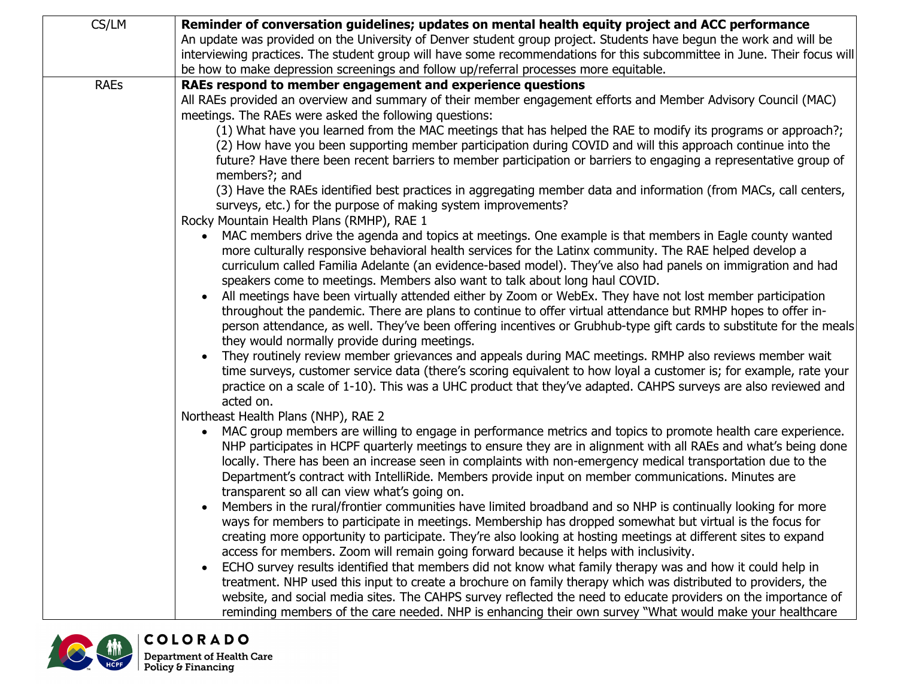| CS/LM                                                                                                  | Reminder of conversation guidelines; updates on mental health equity project and ACC performance                                                                                                                    |  |  |
|--------------------------------------------------------------------------------------------------------|---------------------------------------------------------------------------------------------------------------------------------------------------------------------------------------------------------------------|--|--|
|                                                                                                        | An update was provided on the University of Denver student group project. Students have begun the work and will be                                                                                                  |  |  |
|                                                                                                        | interviewing practices. The student group will have some recommendations for this subcommittee in June. Their focus will                                                                                            |  |  |
|                                                                                                        | be how to make depression screenings and follow up/referral processes more equitable.                                                                                                                               |  |  |
| <b>RAEs</b>                                                                                            | RAEs respond to member engagement and experience questions                                                                                                                                                          |  |  |
|                                                                                                        | All RAEs provided an overview and summary of their member engagement efforts and Member Advisory Council (MAC)                                                                                                      |  |  |
|                                                                                                        | meetings. The RAEs were asked the following questions:                                                                                                                                                              |  |  |
|                                                                                                        | (1) What have you learned from the MAC meetings that has helped the RAE to modify its programs or approach?;                                                                                                        |  |  |
|                                                                                                        | (2) How have you been supporting member participation during COVID and will this approach continue into the                                                                                                         |  |  |
|                                                                                                        | future? Have there been recent barriers to member participation or barriers to engaging a representative group of                                                                                                   |  |  |
|                                                                                                        | members?; and                                                                                                                                                                                                       |  |  |
|                                                                                                        | (3) Have the RAEs identified best practices in aggregating member data and information (from MACs, call centers,                                                                                                    |  |  |
|                                                                                                        | surveys, etc.) for the purpose of making system improvements?                                                                                                                                                       |  |  |
|                                                                                                        | Rocky Mountain Health Plans (RMHP), RAE 1                                                                                                                                                                           |  |  |
|                                                                                                        | MAC members drive the agenda and topics at meetings. One example is that members in Eagle county wanted<br>more culturally responsive behavioral health services for the Latinx community. The RAE helped develop a |  |  |
|                                                                                                        | curriculum called Familia Adelante (an evidence-based model). They've also had panels on immigration and had                                                                                                        |  |  |
|                                                                                                        | speakers come to meetings. Members also want to talk about long haul COVID.                                                                                                                                         |  |  |
|                                                                                                        | All meetings have been virtually attended either by Zoom or WebEx. They have not lost member participation                                                                                                          |  |  |
|                                                                                                        | throughout the pandemic. There are plans to continue to offer virtual attendance but RMHP hopes to offer in-                                                                                                        |  |  |
|                                                                                                        | person attendance, as well. They've been offering incentives or Grubhub-type gift cards to substitute for the meals                                                                                                 |  |  |
|                                                                                                        | they would normally provide during meetings.                                                                                                                                                                        |  |  |
| They routinely review member grievances and appeals during MAC meetings. RMHP also reviews member wait |                                                                                                                                                                                                                     |  |  |
|                                                                                                        | time surveys, customer service data (there's scoring equivalent to how loyal a customer is; for example, rate your                                                                                                  |  |  |
|                                                                                                        | practice on a scale of 1-10). This was a UHC product that they've adapted. CAHPS surveys are also reviewed and                                                                                                      |  |  |
|                                                                                                        | acted on.                                                                                                                                                                                                           |  |  |
|                                                                                                        | Northeast Health Plans (NHP), RAE 2                                                                                                                                                                                 |  |  |
|                                                                                                        | MAC group members are willing to engage in performance metrics and topics to promote health care experience.                                                                                                        |  |  |
|                                                                                                        | NHP participates in HCPF quarterly meetings to ensure they are in alignment with all RAEs and what's being done                                                                                                     |  |  |
|                                                                                                        | locally. There has been an increase seen in complaints with non-emergency medical transportation due to the                                                                                                         |  |  |
|                                                                                                        | Department's contract with IntelliRide. Members provide input on member communications. Minutes are                                                                                                                 |  |  |
|                                                                                                        | transparent so all can view what's going on.                                                                                                                                                                        |  |  |
|                                                                                                        | Members in the rural/frontier communities have limited broadband and so NHP is continually looking for more                                                                                                         |  |  |
|                                                                                                        | ways for members to participate in meetings. Membership has dropped somewhat but virtual is the focus for                                                                                                           |  |  |
|                                                                                                        | creating more opportunity to participate. They're also looking at hosting meetings at different sites to expand                                                                                                     |  |  |
|                                                                                                        | access for members. Zoom will remain going forward because it helps with inclusivity.                                                                                                                               |  |  |
|                                                                                                        | ECHO survey results identified that members did not know what family therapy was and how it could help in                                                                                                           |  |  |
|                                                                                                        | treatment. NHP used this input to create a brochure on family therapy which was distributed to providers, the                                                                                                       |  |  |
|                                                                                                        | website, and social media sites. The CAHPS survey reflected the need to educate providers on the importance of                                                                                                      |  |  |
|                                                                                                        | reminding members of the care needed. NHP is enhancing their own survey "What would make your healthcare                                                                                                            |  |  |

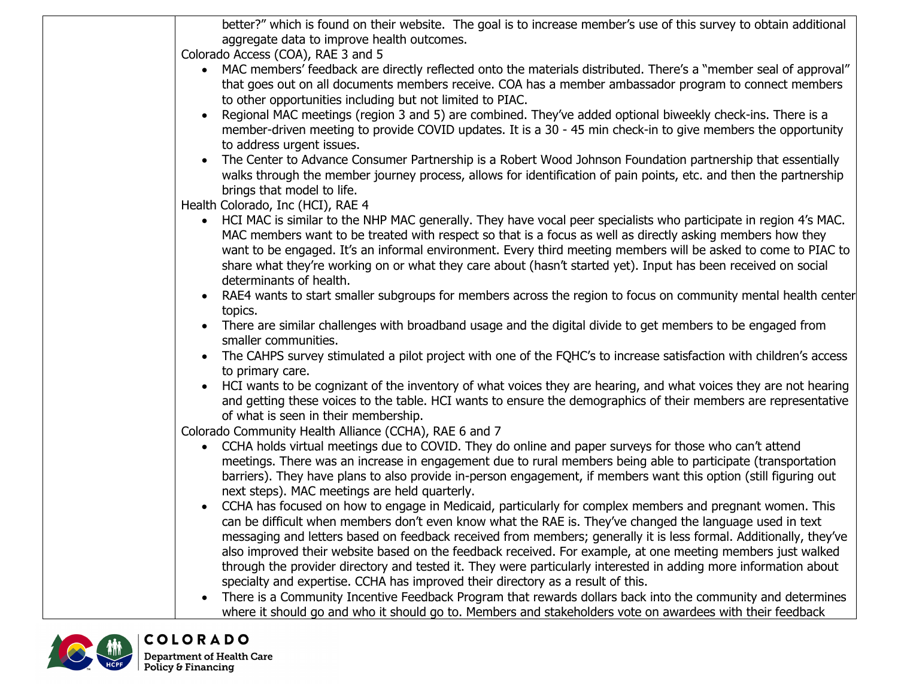|            | better?" which is found on their website. The goal is to increase member's use of this survey to obtain additional                                                                                                                                                                                                                                                                                                                                                                                                                                                           |  |  |  |
|------------|------------------------------------------------------------------------------------------------------------------------------------------------------------------------------------------------------------------------------------------------------------------------------------------------------------------------------------------------------------------------------------------------------------------------------------------------------------------------------------------------------------------------------------------------------------------------------|--|--|--|
|            | aggregate data to improve health outcomes.                                                                                                                                                                                                                                                                                                                                                                                                                                                                                                                                   |  |  |  |
|            | Colorado Access (COA), RAE 3 and 5                                                                                                                                                                                                                                                                                                                                                                                                                                                                                                                                           |  |  |  |
|            | MAC members' feedback are directly reflected onto the materials distributed. There's a "member seal of approval"<br>that goes out on all documents members receive. COA has a member ambassador program to connect members<br>to other opportunities including but not limited to PIAC.                                                                                                                                                                                                                                                                                      |  |  |  |
|            |                                                                                                                                                                                                                                                                                                                                                                                                                                                                                                                                                                              |  |  |  |
|            | Regional MAC meetings (region 3 and 5) are combined. They've added optional biweekly check-ins. There is a<br>member-driven meeting to provide COVID updates. It is a 30 - 45 min check-in to give members the opportunity<br>to address urgent issues.                                                                                                                                                                                                                                                                                                                      |  |  |  |
|            | The Center to Advance Consumer Partnership is a Robert Wood Johnson Foundation partnership that essentially<br>$\bullet$<br>walks through the member journey process, allows for identification of pain points, etc. and then the partnership<br>brings that model to life.                                                                                                                                                                                                                                                                                                  |  |  |  |
|            | Health Colorado, Inc (HCI), RAE 4                                                                                                                                                                                                                                                                                                                                                                                                                                                                                                                                            |  |  |  |
|            | HCI MAC is similar to the NHP MAC generally. They have vocal peer specialists who participate in region 4's MAC.<br>$\bullet$<br>MAC members want to be treated with respect so that is a focus as well as directly asking members how they<br>want to be engaged. It's an informal environment. Every third meeting members will be asked to come to PIAC to<br>share what they're working on or what they care about (hasn't started yet). Input has been received on social<br>determinants of health.                                                                    |  |  |  |
|            | RAE4 wants to start smaller subgroups for members across the region to focus on community mental health center<br>topics.                                                                                                                                                                                                                                                                                                                                                                                                                                                    |  |  |  |
|            | There are similar challenges with broadband usage and the digital divide to get members to be engaged from<br>smaller communities.                                                                                                                                                                                                                                                                                                                                                                                                                                           |  |  |  |
|            | The CAHPS survey stimulated a pilot project with one of the FQHC's to increase satisfaction with children's access<br>to primary care.                                                                                                                                                                                                                                                                                                                                                                                                                                       |  |  |  |
|            | HCI wants to be cognizant of the inventory of what voices they are hearing, and what voices they are not hearing<br>and getting these voices to the table. HCI wants to ensure the demographics of their members are representative<br>of what is seen in their membership.                                                                                                                                                                                                                                                                                                  |  |  |  |
|            | Colorado Community Health Alliance (CCHA), RAE 6 and 7                                                                                                                                                                                                                                                                                                                                                                                                                                                                                                                       |  |  |  |
|            | CCHA holds virtual meetings due to COVID. They do online and paper surveys for those who can't attend<br>$\bullet$<br>meetings. There was an increase in engagement due to rural members being able to participate (transportation<br>barriers). They have plans to also provide in-person engagement, if members want this option (still figuring out<br>next steps). MAC meetings are held quarterly.                                                                                                                                                                      |  |  |  |
|            | CCHA has focused on how to engage in Medicaid, particularly for complex members and pregnant women. This<br>can be difficult when members don't even know what the RAE is. They've changed the language used in text<br>messaging and letters based on feedback received from members; generally it is less formal. Additionally, they've<br>also improved their website based on the feedback received. For example, at one meeting members just walked<br>through the provider directory and tested it. They were particularly interested in adding more information about |  |  |  |
|            | specialty and expertise. CCHA has improved their directory as a result of this.<br>There is a Community Incentive Feedback Program that rewards dollars back into the community and determines<br>where it should go and who it should go to. Members and stakeholders vote on awardees with their feedback                                                                                                                                                                                                                                                                  |  |  |  |
| <b>ANA</b> | <b>COLORADO</b>                                                                                                                                                                                                                                                                                                                                                                                                                                                                                                                                                              |  |  |  |

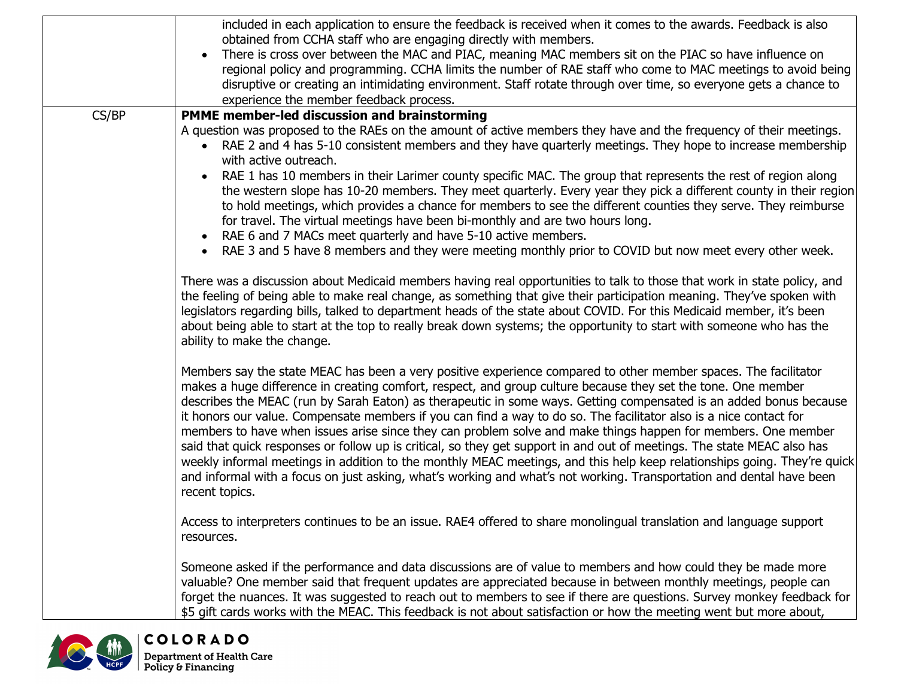|                 | included in each application to ensure the feedback is received when it comes to the awards. Feedback is also                                                                                                                                                                                                                                                                                                                                                                                                                                                                                                                                                                                                                                                                                                                                                                                                                                                                                                                                                                                                                        |
|-----------------|--------------------------------------------------------------------------------------------------------------------------------------------------------------------------------------------------------------------------------------------------------------------------------------------------------------------------------------------------------------------------------------------------------------------------------------------------------------------------------------------------------------------------------------------------------------------------------------------------------------------------------------------------------------------------------------------------------------------------------------------------------------------------------------------------------------------------------------------------------------------------------------------------------------------------------------------------------------------------------------------------------------------------------------------------------------------------------------------------------------------------------------|
|                 | obtained from CCHA staff who are engaging directly with members.<br>There is cross over between the MAC and PIAC, meaning MAC members sit on the PIAC so have influence on<br>regional policy and programming. CCHA limits the number of RAE staff who come to MAC meetings to avoid being<br>disruptive or creating an intimidating environment. Staff rotate through over time, so everyone gets a chance to<br>experience the member feedback process.                                                                                                                                                                                                                                                                                                                                                                                                                                                                                                                                                                                                                                                                            |
| CS/BP           | PMME member-led discussion and brainstorming                                                                                                                                                                                                                                                                                                                                                                                                                                                                                                                                                                                                                                                                                                                                                                                                                                                                                                                                                                                                                                                                                         |
|                 | A question was proposed to the RAEs on the amount of active members they have and the frequency of their meetings.<br>RAE 2 and 4 has 5-10 consistent members and they have quarterly meetings. They hope to increase membership<br>with active outreach.<br>RAE 1 has 10 members in their Larimer county specific MAC. The group that represents the rest of region along<br>the western slope has 10-20 members. They meet quarterly. Every year they pick a different county in their region<br>to hold meetings, which provides a chance for members to see the different counties they serve. They reimburse<br>for travel. The virtual meetings have been bi-monthly and are two hours long.<br>RAE 6 and 7 MACs meet quarterly and have 5-10 active members.<br>• RAE 3 and 5 have 8 members and they were meeting monthly prior to COVID but now meet every other week.<br>There was a discussion about Medicaid members having real opportunities to talk to those that work in state policy, and<br>the feeling of being able to make real change, as something that give their participation meaning. They've spoken with |
|                 | legislators regarding bills, talked to department heads of the state about COVID. For this Medicaid member, it's been<br>about being able to start at the top to really break down systems; the opportunity to start with someone who has the<br>ability to make the change.<br>Members say the state MEAC has been a very positive experience compared to other member spaces. The facilitator<br>makes a huge difference in creating comfort, respect, and group culture because they set the tone. One member<br>describes the MEAC (run by Sarah Eaton) as therapeutic in some ways. Getting compensated is an added bonus because<br>it honors our value. Compensate members if you can find a way to do so. The facilitator also is a nice contact for                                                                                                                                                                                                                                                                                                                                                                         |
|                 | members to have when issues arise since they can problem solve and make things happen for members. One member<br>said that quick responses or follow up is critical, so they get support in and out of meetings. The state MEAC also has<br>weekly informal meetings in addition to the monthly MEAC meetings, and this help keep relationships going. They're quick<br>and informal with a focus on just asking, what's working and what's not working. Transportation and dental have been<br>recent topics.                                                                                                                                                                                                                                                                                                                                                                                                                                                                                                                                                                                                                       |
|                 | Access to interpreters continues to be an issue. RAE4 offered to share monolingual translation and language support<br>resources.                                                                                                                                                                                                                                                                                                                                                                                                                                                                                                                                                                                                                                                                                                                                                                                                                                                                                                                                                                                                    |
|                 | Someone asked if the performance and data discussions are of value to members and how could they be made more<br>valuable? One member said that frequent updates are appreciated because in between monthly meetings, people can<br>forget the nuances. It was suggested to reach out to members to see if there are questions. Survey monkey feedback for<br>\$5 gift cards works with the MEAC. This feedback is not about satisfaction or how the meeting went but more about,                                                                                                                                                                                                                                                                                                                                                                                                                                                                                                                                                                                                                                                    |
| <b>COLORADO</b> |                                                                                                                                                                                                                                                                                                                                                                                                                                                                                                                                                                                                                                                                                                                                                                                                                                                                                                                                                                                                                                                                                                                                      |